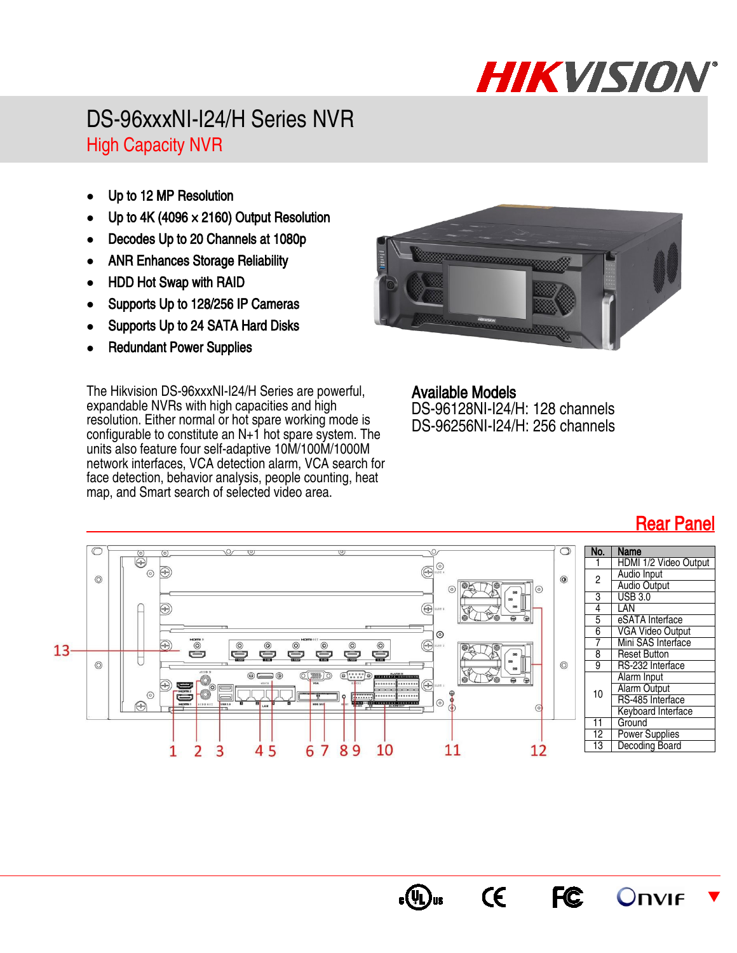## HIKVISION

## DS-96xxxNI-I24/H Series NVR High Capacity NVR

- Up to 12 MP Resolution
- Up to  $4K (4096 \times 2160)$  Output Resolution
- Decodes Up to 20 Channels at 1080p
- ANR Enhances Storage Reliability
- HDD Hot Swap with RAID
- Supports Up to 128/256 IP Cameras
- Supports Up to 24 SATA Hard Disks
- Redundant Power Supplies

The Hikvision DS-96xxxNI-I24/H Series are powerful, expandable NVRs with high capacities and high resolution. Either normal or hot spare working mode is configurable to constitute an N+1 hot spare system. The units also feature four self-adaptive 10M/100M/1000M network interfaces, VCA detection alarm, VCA search for face detection, behavior analysis, people counting, heat map, and Smart search of selected video area.



Available Models DS-96128NI-I24/H: 128 channels DS-96256NI-I24/H: 256 channels

 $\epsilon$ 

c (YL) us

**FC** 



## Rear Panel

 $\blacktriangledown$ 

**Onvir**